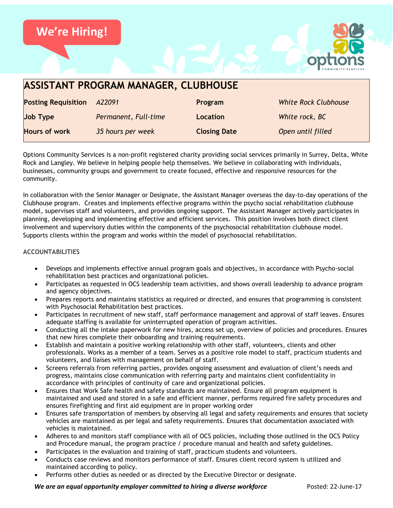

| <b>ASSISTANT PROGRAM MANAGER, CLUBHOUSE</b> |                      |                     |                             |
|---------------------------------------------|----------------------|---------------------|-----------------------------|
| <b>Posting Requisition</b>                  | A22091               | Program             | <b>White Rock Clubhouse</b> |
| <b>Job Type</b>                             | Permanent, Full-time | Location            | White rock, BC              |
| <b>Hours of work</b>                        | 35 hours per week    | <b>Closing Date</b> | Open until filled           |

Options Community Services is a non-profit registered charity providing social services primarily in Surrey, Delta, White Rock and Langley. We believe in helping people help themselves. We believe in collaborating with individuals, businesses, community groups and government to create focused, effective and responsive resources for the community.

In collaboration with the Senior Manager or Designate, the Assistant Manager overseas the day-to-day operations of the Clubhouse program. Creates and implements effective programs within the psycho social rehabilitation clubhouse model, supervises staff and volunteers, and provides ongoing support. The Assistant Manager actively participates in planning, developing and implementing effective and efficient services. This position involves both direct client involvement and supervisory duties within the components of the psychosocial rehabilitation clubhouse model. Supports clients within the program and works within the model of psychosocial rehabilitation.

### **ACCOUNTABILITIES**

- Develops and implements effective annual program goals and objectives, in accordance with Psycho-social rehabilitation best practices and organizational policies.
- Participates as requested in OCS leadership team activities, and shows overall leadership to advance program and agency objectives.
- Prepares reports and maintains statistics as required or directed, and ensures that programming is consistent with Psychosocial Rehabilitation best practices.
- Participates in recruitment of new staff, staff performance management and approval of staff leaves. Ensures adequate staffing is available for uninterrupted operation of program activities.
- Conducting all the intake paperwork for new hires, access set up, overview of policies and procedures. Ensures that new hires complete their onboarding and training requirements.
- Establish and maintain a positive working relationship with other staff, volunteers, clients and other professionals. Works as a member of a team. Serves as a positive role model to staff, practicum students and volunteers, and liaises with management on behalf of staff.
- Screens referrals from referring parties, provides ongoing assessment and evaluation of client's needs and progress, maintains close communication with referring party and maintains client confidentiality in accordance with principles of continuity of care and organizational policies.
- Ensures that Work Safe health and safety standards are maintained. Ensure all program equipment is maintained and used and stored in a safe and efficient manner, performs required fire safety procedures and ensures firefighting and first aid equipment are in proper working order
- Ensures safe transportation of members by observing all legal and safety requirements and ensures that society vehicles are maintained as per legal and safety requirements. Ensures that documentation associated with vehicles is maintained.
- Adheres to and monitors staff compliance with all of OCS policies, including those outlined in the OCS Policy and Procedure manual, the program practice / procedure manual and health and safety guidelines.
- Participates in the evaluation and training of staff, practicum students and volunteers.
- Conducts case reviews and monitors performance of staff. Ensures client record system is utilized and maintained according to policy.
- Performs other duties as needed or as directed by the Executive Director or designate.

*We are an equal opportunity employer committed to hiring a diverse workforce* Posted: 22-June-17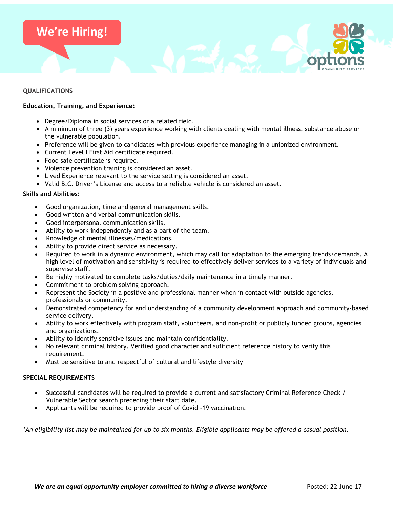# **We're Hiring!**

## **QUALIFICATIONS**

# **Education, Training, and Experience:**

- Degree/Diploma in social services or a related field.
- A minimum of three (3) years experience working with clients dealing with mental illness, substance abuse or the vulnerable population.
- Preference will be given to candidates with previous experience managing in a unionized environment.
- Current Level I First Aid certificate required.
- Food safe certificate is required.
- Violence prevention training is considered an asset.
- Lived Experience relevant to the service setting is considered an asset.
- Valid B.C. Driver's License and access to a reliable vehicle is considered an asset.

### **Skills and Abilities:**

- Good organization, time and general management skills.
- Good written and verbal communication skills.
- Good interpersonal communication skills.
- Ability to work independently and as a part of the team.
- Knowledge of mental illnesses/medications.
- Ability to provide direct service as necessary.
- Required to work in a dynamic environment, which may call for adaptation to the emerging trends/demands. A high level of motivation and sensitivity is required to effectively deliver services to a variety of individuals and supervise staff.
- Be highly motivated to complete tasks/duties/daily maintenance in a timely manner.
- Commitment to problem solving approach.
- Represent the Society in a positive and professional manner when in contact with outside agencies, professionals or community.
- Demonstrated competency for and understanding of a community development approach and community-based service delivery.
- Ability to work effectively with program staff, volunteers, and non-profit or publicly funded groups, agencies and organizations.
- Ability to identify sensitive issues and maintain confidentiality.
- No relevant criminal history. Verified good character and sufficient reference history to verify this requirement.
- Must be sensitive to and respectful of cultural and lifestyle diversity

## **SPECIAL REQUIREMENTS**

- Successful candidates will be required to provide a current and satisfactory Criminal Reference Check / Vulnerable Sector search preceding their start date.
- Applicants will be required to provide proof of Covid -19 vaccination.

*\*An eligibility list may be maintained for up to six months. Eligible applicants may be offered a casual position.*